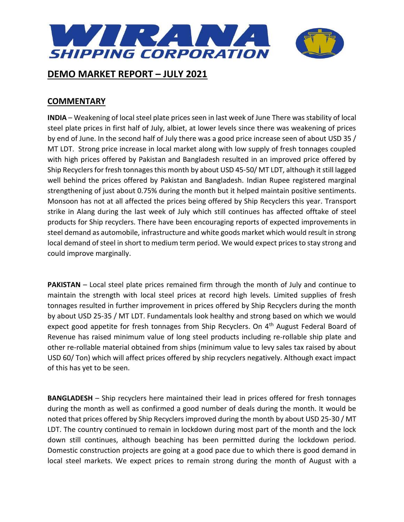

## **COMMENTARY**

**INDIA** – Weakening of local steel plate prices seen in last week of June There was stability of local steel plate prices in first half of July, albiet, at lower levels since there was weakening of prices by end of June. In the second half of July there was a good price increase seen of about USD 35 / MT LDT. Strong price increase in local market along with low supply of fresh tonnages coupled with high prices offered by Pakistan and Bangladesh resulted in an improved price offered by Ship Recyclers for fresh tonnages this month by about USD 45-50/ MT LDT, although it still lagged well behind the prices offered by Pakistan and Bangladesh. Indian Rupee registered marginal strengthening of just about 0.75% during the month but it helped maintain positive sentiments. Monsoon has not at all affected the prices being offered by Ship Recyclers this year. Transport strike in Alang during the last week of July which still continues has affected offtake of steel products for Ship recyclers. There have been encouraging reports of expected improvements in steel demand as automobile, infrastructure and white goods market which would result in strong local demand of steel in short to medium term period. We would expect prices to stay strong and could improve marginally.

**PAKISTAN** – Local steel plate prices remained firm through the month of July and continue to maintain the strength with local steel prices at record high levels. Limited supplies of fresh tonnages resulted in further improvement in prices offered by Ship Recyclers during the month by about USD 25-35 / MT LDT. Fundamentals look healthy and strong based on which we would expect good appetite for fresh tonnages from Ship Recyclers. On 4<sup>th</sup> August Federal Board of Revenue has raised minimum value of long steel products including re-rollable ship plate and other re-rollable material obtained from ships (minimum value to levy sales tax raised by about USD 60/ Ton) which will affect prices offered by ship recyclers negatively. Although exact impact of this has yet to be seen.

**BANGLADESH** – Ship recyclers here maintained their lead in prices offered for fresh tonnages during the month as well as confirmed a good number of deals during the month. It would be noted that prices offered by Ship Recyclers improved during the month by about USD 25-30 / MT LDT. The country continued to remain in lockdown during most part of the month and the lock down still continues, although beaching has been permitted during the lockdown period. Domestic construction projects are going at a good pace due to which there is good demand in local steel markets. We expect prices to remain strong during the month of August with a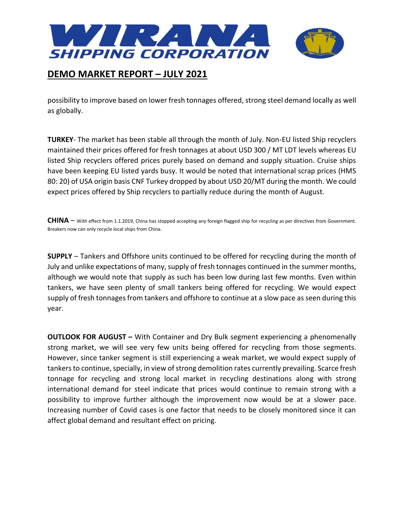

possibility to improve based on lower fresh tonnages offered, strong steel demand locally as well as globally.

**TURKEY**- The market has been stable all through the month of July. Non-EU listed Ship recyclers maintained their prices offered for fresh tonnages at about USD 300 / MT LDT levels whereas EU listed Ship recyclers offered prices purely based on demand and supply situation. Cruise ships have been keeping EU listed yards busy. It would be noted that international scrap prices (HMS 80: 20) of USA origin basis CNF Turkey dropped by about USD 20/MT during the month. We could expect prices offered by Ship recyclers to partially reduce during the month of August.

**CHINA** – With effect from 1.1.2019, China has stopped accepting any foreign flagged ship for recycling as per directives from Government. Breakers now can only recycle local ships from China.

**SUPPLY** – Tankers and Offshore units continued to be offered for recycling during the month of July and unlike expectations of many, supply of fresh tonnages continued in the summer months, although we would note that supply as such has been low during last few months. Even within tankers, we have seen plenty of small tankers being offered for recycling. We would expect supply of fresh tonnages from tankers and offshore to continue at a slow pace as seen during this year.

**OUTLOOK FOR AUGUST –** With Container and Dry Bulk segment experiencing a phenomenally strong market, we will see very few units being offered for recycling from those segments. However, since tanker segment is still experiencing a weak market, we would expect supply of tankers to continue, specially, in view of strong demolition rates currently prevailing. Scarce fresh tonnage for recycling and strong local market in recycling destinations along with strong international demand for steel indicate that prices would continue to remain strong with a possibility to improve further although the improvement now would be at a slower pace. Increasing number of Covid cases is one factor that needs to be closely monitored since it can affect global demand and resultant effect on pricing.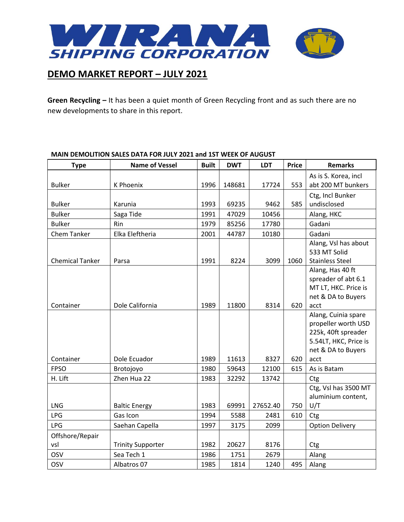

**Green Recycling –** It has been a quiet month of Green Recycling front and as such there are no new developments to share in this report.

#### **Type Name of Vessel Built DWT LDT Price Remarks** Bulker | K Phoenix | 1996 | 148681 | 17724 | 553 As is S. Korea, incl abt 200 MT bunkers Bulker Karunia 1993 69235 9462 585 Ctg, Incl Bunker undisclosed Bulker | Saga Tide | 1991 | 47029 | 10456 | Alang, HKC Bulker Rin 1979 85256 17780 Gadani Chem Tanker Elka Eleftheria 2001 44787 10180 Gadani Chemical Tanker | Parsa 1991 | 1991 | 1924 | 1909 | 1060 Alang, Vsl has about 533 MT Solid Stainless Steel Container | Dole California | 1989 | 11800 | 8314 | 620 Alang, Has 40 ft spreader of abt 6.1 MT LT, HKC. Price is net & DA to Buyers acct Container | Dole Ecuador | 1989 | 11613 | 8327 | 620 | Alang, Cuinia spare propeller worth USD 225k, 40ft spreader 5.54LT, HKC, Price is net & DA to Buyers acct FPSO Brotojoyo 1980 59643 12100 615 As is Batam H. Lift  $\vert$  Zhen Hua 22  $\vert$  1983 | 32292 | 13742 | Ctg LNG | Baltic Energy | 1983 | 69991 | 27652.40 | 750 Ctg, Vsl has 3500 MT aluminium content, U/T LPG | Gas Icon | 1994 | 5588 | 2481 | 610 | Ctg LPG Saehan Capella 1997 3175 2099 Option Delivery Offshore/Repair vsl Trinity Supporter 1982 20627 8176 Ctg OSV | Sea Tech 1 | 1986 | 1751 | 2679 | Alang OSV Albatros 07 1985 1814 1240 495 Alang

### **MAIN DEMOLITION SALES DATA FOR JULY 2021 and 1ST WEEK OF AUGUST**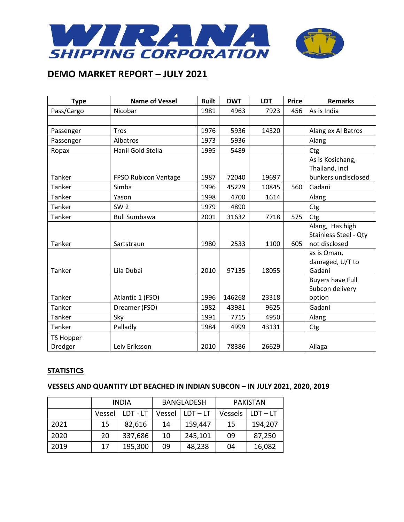

| <b>Type</b>      | <b>Name of Vessel</b> | <b>Built</b> | <b>DWT</b> | <b>LDT</b> | <b>Price</b> | <b>Remarks</b>               |
|------------------|-----------------------|--------------|------------|------------|--------------|------------------------------|
| Pass/Cargo       | Nicobar               | 1981         | 4963       | 7923       | 456          | As is India                  |
|                  |                       |              |            |            |              |                              |
| Passenger        | <b>Tros</b>           | 1976         | 5936       | 14320      |              | Alang ex Al Batros           |
| Passenger        | Albatros              | 1973         | 5936       |            |              | Alang                        |
| Ropax            | Hanil Gold Stella     | 1995         | 5489       |            |              | Ctg                          |
|                  |                       |              |            |            |              | As is Kosichang,             |
|                  |                       |              |            |            |              | Thailand, incl               |
| Tanker           | FPSO Rubicon Vantage  | 1987         | 72040      | 19697      |              | bunkers undisclosed          |
| Tanker           | Simba                 | 1996         | 45229      | 10845      | 560          | Gadani                       |
| Tanker           | Yason                 | 1998         | 4700       | 1614       |              | Alang                        |
| Tanker           | SW <sub>2</sub>       | 1979         | 4890       |            |              | Ctg                          |
| Tanker           | <b>Bull Sumbawa</b>   | 2001         | 31632      | 7718       | 575          | Ctg                          |
|                  |                       |              |            |            |              | Alang, Has high              |
|                  |                       |              |            |            |              | <b>Stainless Steel - Qty</b> |
| Tanker           | Sartstraun            | 1980         | 2533       | 1100       | 605          | not disclosed                |
|                  |                       |              |            |            |              | as is Oman,                  |
|                  |                       |              |            |            |              | damaged, U/T to              |
| Tanker           | Lila Dubai            | 2010         | 97135      | 18055      |              | Gadani                       |
|                  |                       |              |            |            |              | <b>Buyers have Full</b>      |
|                  |                       |              |            |            |              | Subcon delivery              |
| Tanker           | Atlantic 1 (FSO)      | 1996         | 146268     | 23318      |              | option                       |
| Tanker           | Dreamer (FSO)         | 1982         | 43981      | 9625       |              | Gadani                       |
| Tanker           | Sky                   | 1991         | 7715       | 4950       |              | Alang                        |
| Tanker           | Palladly              | 1984         | 4999       | 43131      |              | Ctg                          |
| <b>TS Hopper</b> |                       |              |            |            |              |                              |
| Dredger          | Leiv Eriksson         | 2010         | 78386      | 26629      |              | Aliaga                       |

### **STATISTICS**

## **VESSELS AND QUANTITY LDT BEACHED IN INDIAN SUBCON – IN JULY 2021, 2020, 2019**

|      | <b>INDIA</b> |          | <b>BANGLADESH</b> |            | <b>PAKISTAN</b> |            |
|------|--------------|----------|-------------------|------------|-----------------|------------|
|      | Vessel       | LDT - LT | Vessel            | $LDT - LT$ | Vessels         | $LDT - LT$ |
| 2021 | 15           | 82,616   | 14                | 159,447    | 15              | 194,207    |
| 2020 | 20           | 337,686  | 10                | 245,101    | 09              | 87,250     |
| 2019 | 17           | 195,300  | 09                | 48,238     | 04              | 16,082     |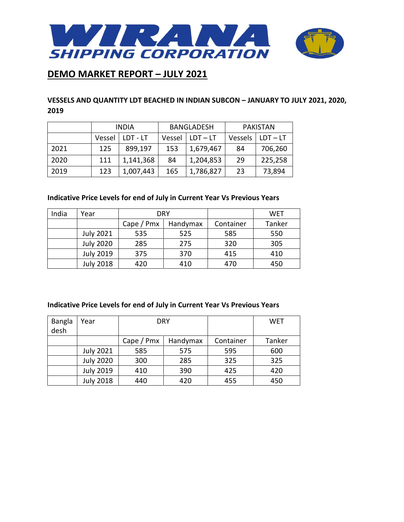

## **VESSELS AND QUANTITY LDT BEACHED IN INDIAN SUBCON – JANUARY TO JULY 2021, 2020, 2019**

|      | <b>INDIA</b> |           | <b>BANGLADESH</b> |            | <b>PAKISTAN</b> |            |
|------|--------------|-----------|-------------------|------------|-----------------|------------|
|      | Vessel       | LDT - LT  | Vessel            | $LDT - LT$ | Vessels         | l LDT – LT |
| 2021 | 125          | 899.197   | 153               | 1,679,467  | 84              | 706,260    |
| 2020 | 111          | 1,141,368 | 84                | 1,204,853  | 29              | 225,258    |
| 2019 | 123          | 1,007,443 | 165               | 1,786,827  | 23              | 73,894     |

## **Indicative Price Levels for end of July in Current Year Vs Previous Years**

| India | Year             |            | <b>DRY</b> |           | WET    |
|-------|------------------|------------|------------|-----------|--------|
|       |                  | Cape / Pmx | Handymax   | Container | Tanker |
|       | <b>July 2021</b> | 535        | 525        | 585       | 550    |
|       | <b>July 2020</b> | 285        | 275        | 320       | 305    |
|       | <b>July 2019</b> | 375        | 370        | 415       | 410    |
|       | <b>July 2018</b> | 420        | 410        | 470       | 450    |

#### **Indicative Price Levels for end of July in Current Year Vs Previous Years**

| <b>Bangla</b> | Year             |            | DRY      |           | <b>WET</b> |
|---------------|------------------|------------|----------|-----------|------------|
| desh          |                  |            |          |           |            |
|               |                  | Cape / Pmx | Handymax | Container | Tanker     |
|               | <b>July 2021</b> | 585        | 575      | 595       | 600        |
|               | <b>July 2020</b> | 300        | 285      | 325       | 325        |
|               | <b>July 2019</b> | 410        | 390      | 425       | 420        |
|               | <b>July 2018</b> | 440        | 420      | 455       | 450        |